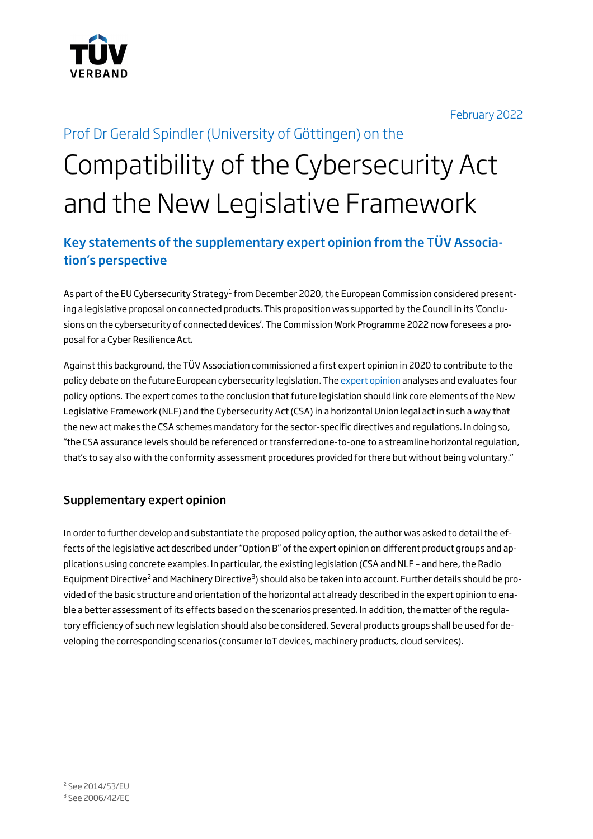

February 2022

# Prof Dr Gerald Spindler (University of Göttingen) on the Compatibility of the Cybersecurity Act and the New Legislative Framework

## Key statements of the supplementary expert opinion from the TÜV Association's perspective

As part of the EU Cybersecurity Strategy<sup>1</sup> from December 2020, the European Commission considered presenting a legislative proposal on connected products. This proposition was supported by the Council in its 'Conclusions on the cybersecurity of connected devices'. The Commission Work Programme 2022 now foresees a proposal for a Cyber Resilience Act.

Against this background, the TÜV Association commissioned a first expert opinion in 2020 to contribute to the policy debate on the future European cybersecurity legislation. The expert opinion analyses and evaluates four policy options. The expert comes to the conclusion that future legislation should link core elements of the New Legislative Framework (NLF) and the Cybersecurity Act (CSA) in a horizontal Union legal act in such a way that the new act makes the CSA schemes mandatory for the sector-specific directives and regulations. In doing so, "the CSA assurance levels should be referenced or transferred one-to-one to a streamline horizontal regulation, that's to say also with the conformity assessment procedures provided for there but without being voluntary."

#### Supplementary expert opinion

In order to further develop and substantiate the proposed policy option, the author was asked to detail the effects of the legislative act described under "Option B" of the expert opinion on different product groups and applications using concrete examples. In particular, the existing legislation (CSA and NLF – and here, the Radio Equipment Directive<sup>2</sup> and Machinery Directive<sup>3</sup>) should also be taken into account. Further details should be provided of the basic structure and orientation of the horizontal act already described in the expert opinion to enable a better assessment of its effects based on the scenarios presented. In addition, the matter of the regulatory efficiency of such new legislation should also be considered. Several products groups shall be used for developing the corresponding scenarios (consumer IoT devices, machinery products, cloud services).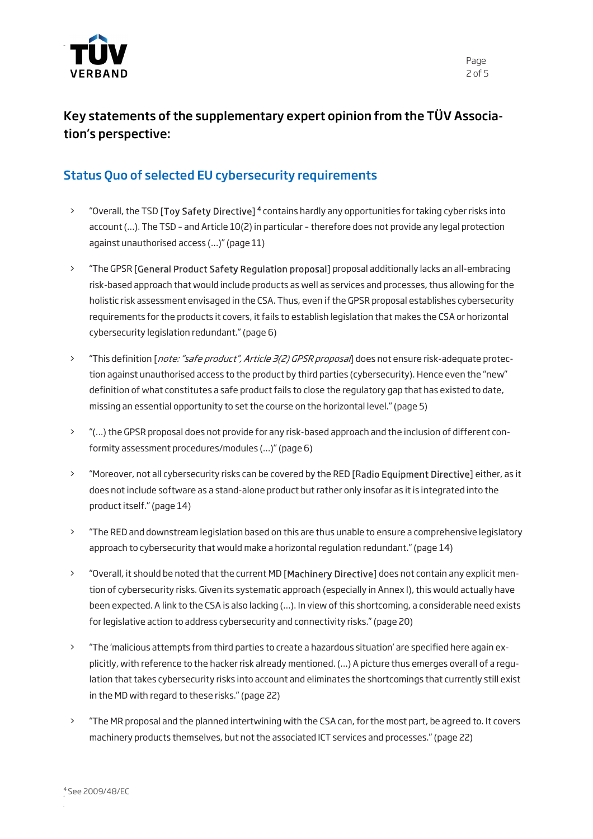

# Key statements of the supplementary expert opinion from the TÜV Association's perspective:

### Status Quo of selected EU cybersecurity requirements

- <sup>2</sup> "Overall, the TSD [Toy Safety Directive]<sup>4</sup> contains hardly any opportunities for taking cyber risks into account (…). The TSD – and Article 10(2) in particular – therefore does not provide any legal protection against unauthorised access (…)" (page 11)
- > "The GPSR [General Product Safety Regulation proposal] proposal additionally lacks an all-embracing risk-based approach that would include products as well as services and processes, thus allowing for the holistic risk assessment envisaged in the CSA. Thus, even if the GPSR proposal establishes cybersecurity requirements for the products it covers, it fails to establish legislation that makes the CSA or horizontal cybersecurity legislation redundant." (page 6)
- > "This definition [*note: "safe product", Article 3(2) GPSR proposal*] does not ensure risk-adequate protection against unauthorised access to the product by third parties (cybersecurity). Hence even the "new" definition of what constitutes a safe product fails to close the regulatory gap that has existed to date, missing an essential opportunity to set the course on the horizontal level." (page 5)
- > "(…) the GPSR proposal does not provide for any risk-based approach and the inclusion of different conformity assessment procedures/modules (…)" (page 6)
- > "Moreover, not all cybersecurity risks can be covered by the RED [Radio Equipment Directive] either, as it does not include software as a stand-alone product but rather only insofar as it is integrated into the product itself." (page 14)
- > "The RED and downstream legislation based on this are thus unable to ensure a comprehensive legislatory approach to cybersecurity that would make a horizontal regulation redundant." (page 14)
- > "Overall, it should be noted that the current MD [Machinery Directive] does not contain any explicit mention of cybersecurity risks. Given its systematic approach (especially in Annex I), this would actually have been expected. A link to the CSA is also lacking (…). In view of this shortcoming, a considerable need exists for legislative action to address cybersecurity and connectivity risks." (page 20)
- > "The 'malicious attempts from third parties to create a hazardous situation' are specified here again explicitly, with reference to the hacker risk already mentioned. (…) A picture thus emerges overall of a regulation that takes cybersecurity risks into account and eliminates the shortcomings that currently still exist in the MD with regard to these risks." (page 22)
- > "The MR proposal and the planned intertwining with the CSA can, for the most part, be agreed to. It covers machinery products themselves, but not the associated ICT services and processes." (page 22)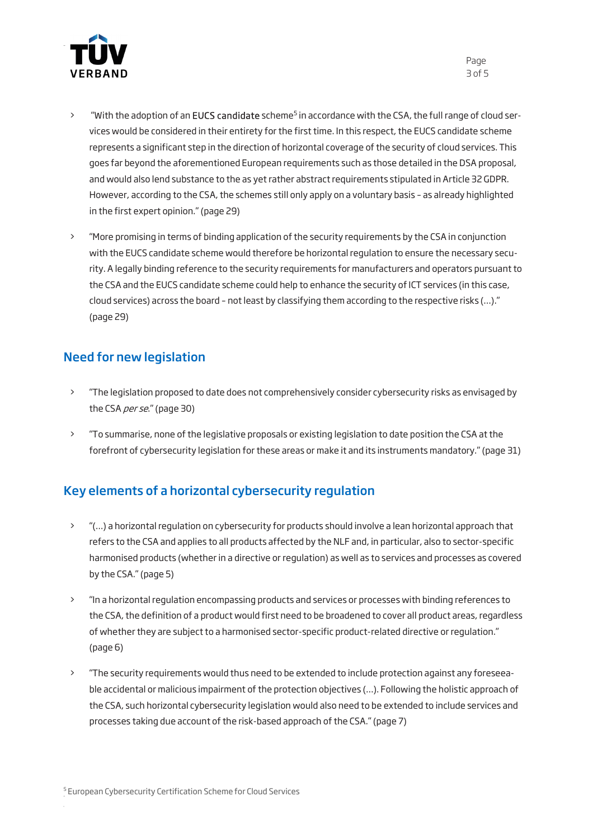

- > "With the adoption of an EUCS candidate scheme<sup>5</sup> in accordance with the CSA, the full range of cloud services would be considered in their entirety for the first time. In this respect, the EUCS candidate scheme represents a significant step in the direction of horizontal coverage of the security of cloud services. This goes far beyond the aforementioned European requirements such as those detailed in the DSA proposal, and would also lend substance to the as yet rather abstract requirements stipulated in Article 32 GDPR. However, according to the CSA, the schemes still only apply on a voluntary basis – as already highlighted in the first expert opinion." (page 29)
- > "More promising in terms of binding application of the security requirements by the CSA in conjunction with the EUCS candidate scheme would therefore be horizontal regulation to ensure the necessary security. A legally binding reference to the security requirements for manufacturers and operators pursuant to the CSA and the EUCS candidate scheme could help to enhance the security of ICT services (in this case, cloud services) across the board – not least by classifying them according to the respective risks (…)." (page 29)

### Need for new legislation

- > "The legislation proposed to date does not comprehensively consider cybersecurity risks as envisaged by the CSA per se." (page 30)
- > "To summarise, none of the legislative proposals or existing legislation to date position the CSA at the forefront of cybersecurity legislation for these areas or make it and its instruments mandatory." (page 31)

### Key elements of a horizontal cybersecurity regulation

- > "(…) a horizontal regulation on cybersecurity for products should involve a lean horizontal approach that refers to the CSA and applies to all products affected by the NLF and, in particular, also to sector-specific harmonised products (whether in a directive or regulation) as well as to services and processes as covered by the CSA." (page 5)
- > "In a horizontal regulation encompassing products and services or processes with binding references to the CSA, the definition of a product would first need to be broadened to cover all product areas, regardless of whether they are subject to a harmonised sector-specific product-related directive or regulation." (page 6)
- > "The security requirements would thus need to be extended to include protection against any foreseeable accidental or malicious impairment of the protection objectives (…). Following the holistic approach of the CSA, such horizontal cybersecurity legislation would also need to be extended to include services and processes taking due account of the risk-based approach of the CSA." (page 7)

Page 3 of 5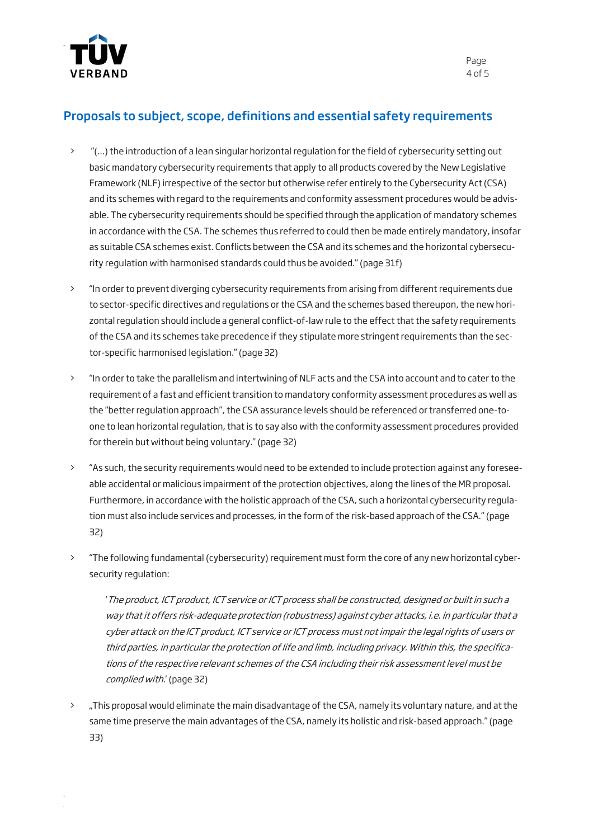

#### Proposals to subject, scope, definitions and essential safety requirements

- > "(…) the introduction of a lean singular horizontal regulation for the field of cybersecurity setting out basic mandatory cybersecurity requirements that apply to all products covered by the New Legislative Framework (NLF) irrespective of the sector but otherwise refer entirely to the Cybersecurity Act (CSA) and its schemes with regard to the requirements and conformity assessment procedures would be advisable. The cybersecurity requirements should be specified through the application of mandatory schemes in accordance with the CSA. The schemes thus referred to could then be made entirely mandatory, insofar as suitable CSA schemes exist. Conflicts between the CSA and its schemes and the horizontal cybersecurity regulation with harmonised standards could thus be avoided." (page 31f)
- > "In order to prevent diverging cybersecurity requirements from arising from different requirements due to sector-specific directives and regulations or the CSA and the schemes based thereupon, the new horizontal regulation should include a general conflict-of-law rule to the effect that the safety requirements of the CSA and its schemes take precedence if they stipulate more stringent requirements than the sector-specific harmonised legislation." (page 32)
- > "In order to take the parallelism and intertwining of NLF acts and the CSA into account and to cater to the requirement of a fast and efficient transition to mandatory conformity assessment procedures as well as the "better regulation approach", the CSA assurance levels should be referenced or transferred one-toone to lean horizontal regulation, that is to say also with the conformity assessment procedures provided for therein but without being voluntary." (page 32)
- > "As such, the security requirements would need to be extended to include protection against any foreseeable accidental or malicious impairment of the protection objectives, along the lines of the MR proposal. Furthermore, in accordance with the holistic approach of the CSA, such a horizontal cybersecurity regulation must also include services and processes, in the form of the risk-based approach of the CSA." (page 32)
- > "The following fundamental (cybersecurity) requirement must form the core of any new horizontal cybersecurity regulation:

'The product, ICT product, ICT service or ICT process shall be constructed, designed or built in such a way that it offers risk-adequate protection (robustness) against cyber attacks, i.e. in particular that a cyber attack on the ICT product, ICT service or ICT process must not impair the legal rights of users or third parties, in particular the protection of life and limb, including privacy. Within this, the specifications of the respective relevant schemes of the CSA including their risk assessment level must be complied with.' (page 32)

> ...This proposal would eliminate the main disadvantage of the CSA, namely its voluntary nature, and at the same time preserve the main advantages of the CSA, namely its holistic and risk-based approach." (page 33)